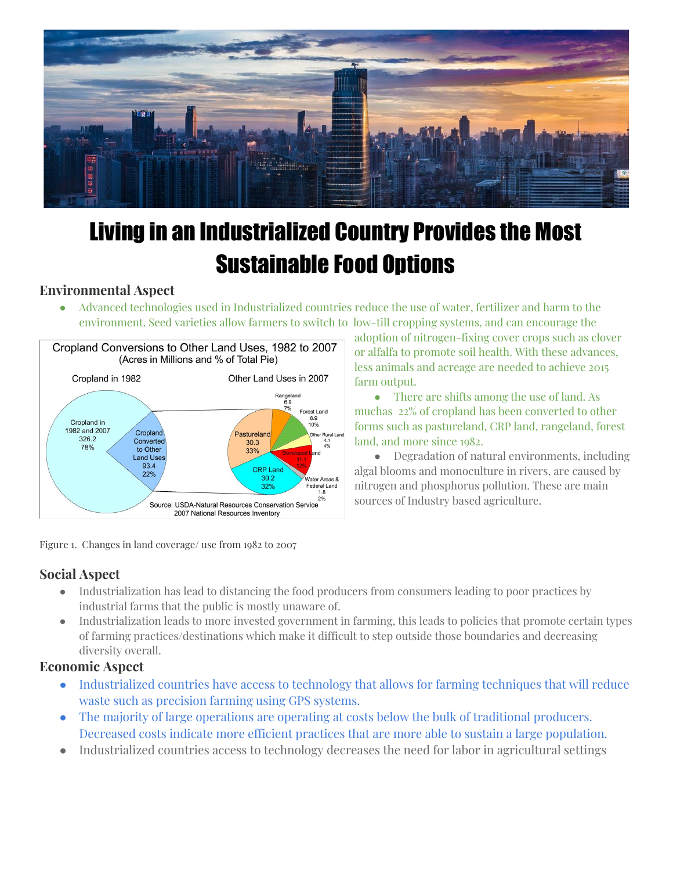

# Living in an Industrialized Country Provides the Most Sustainable Food Options

## **Environmental Aspect**

● Advanced technologies used in Industrialized countries reduce the use of water, fertilizer and harm to the environment. Seed varieties allow farmers to switch to low-till cropping systems, and can encourage the



Figure 1. Changes in land coverage/ use from 1982 to 2007

adoption of nitrogen-fixing cover crops such as clover or alfalfa to promote soil health. With these advances, less animals and acreage are needed to achieve 2015 farm output.

• There are shifts among the use of land. As muchas 22% of cropland has been converted to other forms such as pastureland, CRP land, rangeland, forest land, and more since 1982.

● Degradation of natural environments, including algal blooms and monoculture in rivers, are caused by nitrogen and phosphorus pollution. These are main sources of Industry based agriculture.

# **Social Aspect**

- Industrialization has lead to distancing the food producers from consumers leading to poor practices by industrial farms that the public is mostly unaware of.
- Industrialization leads to more invested government in farming, this leads to policies that promote certain types of farming practices/destinations which make it difficult to step outside those boundaries and decreasing diversity overall.

## **Economic Aspect**

- Industrialized countries have access to technology that allows for farming techniques that will reduce waste such as precision farming using GPS systems.
- The majority of large operations are operating at costs below the bulk of traditional producers. Decreased costs indicate more efficient practices that are more able to sustain a large population.
- Industrialized countries access to technology decreases the need for labor in agricultural settings